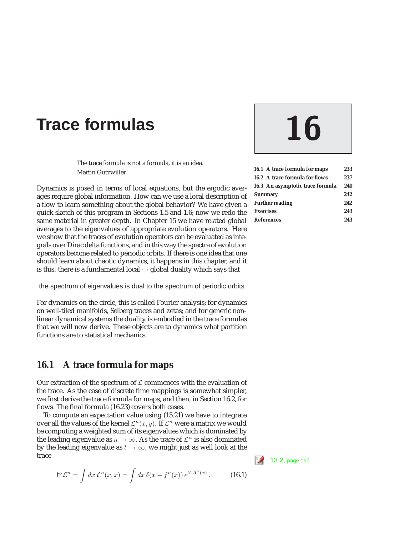# Trace formulas 16

The trace formula is not a formula, it is an idea. Martin Gutzwiller

Dynamics is posed in terms of local equations, but the ergodic averages require global information. How can we use a local description of a flow to learn something about the global behavior? We have given a quick sketch of this program in Sections 1.5 and 1.6; now we redo the same material in greater depth. In Chapter 15 we have related global averages to the eigenvalues of appropriate evolution operators. Here we show that the traces of evolution operators can be evaluated as integrals over Dirac delta functions, and in this way the spectra of evolution operators become related to periodic orbits. If there is one idea that one should learn about chaotic dynamics, it happens in this chapter, and it is this: there is a fundamental local  $\leftrightarrow$  global duality which says that

the spectrum of eigenvalues is dual to the spectrum of periodic orbits

For dynamics on the circle, this is called Fourier analysis; for dynamics on well-tiled manifolds, Selberg traces and zetas; and for generic nonlinear dynamical systems the duality is embodied in the trace formulas that we will now derive. These objects are to dynamics what partition functions are to statistical mechanics.

# **16.1 A trace formula for maps**

Our extraction of the spectrum of  $\mathcal L$  commences with the evaluation of the trace. As the case of discrete time mappings is somewhat simpler, we first derive the trace formula for maps, and then, in Section 16.2, for flows. The final formula (16.23) covers both cases.

To compute an expectation value using (15.21) we have to integrate over all the values of the kernel  $\mathcal{L}^n(x, y)$ . If  $\mathcal{L}^n$  were a matrix we would be computing a weighted sum of its eigenvalues which is dominated by the leading eigenvalue as  $n \to \infty$ . As the trace of  $\mathcal{L}^n$  is also dominated by the leading eigenvalue as  $t \to \infty$ , we might just as well look at the trace  $\frac{1}{2}$  13.2, page 197

$$
\operatorname{tr} \mathcal{L}^n = \int dx \, \mathcal{L}^n(x, x) = \int dx \, \delta(x - f^n(x)) \, e^{\beta \cdot A^n(x)} \,. \tag{16.1}
$$

| 16.1 A trace formula for maps         | 233  |
|---------------------------------------|------|
| <b>16.2 A trace formula for flows</b> | 237  |
| 16.3 An asymptotic trace formula      | 240  |
| <b>Summary</b>                        | 2.42 |
| <b>Further reading</b>                | 2.42 |
| <b>Exercises</b>                      | 243  |
| <b>References</b>                     | 243  |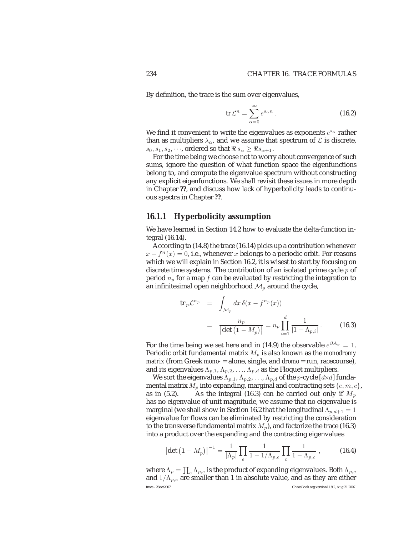By definition, the trace is the sum over eigenvalues,

$$
\operatorname{tr} \mathcal{L}^n = \sum_{\alpha=0}^{\infty} e^{s_{\alpha} n} \,. \tag{16.2}
$$

We find it convenient to write the eigenvalues as exponents  $e^{s_{\alpha}}$  rather than as multipliers  $\lambda_{\alpha}$ , and we assume that spectrum of  $\mathcal L$  is discrete,  $s_0, s_1, s_2, \dots$ , ordered so that  $\Re s_\alpha \geq \Re s_{\alpha+1}$ .

For the time being we choose not to worry about convergence of such sums, ignore the question of what function space the eigenfunctions belong to, and compute the eigenvalue spectrum without constructing any explicit eigenfunctions. We shall revisit these issues in more depth in Chapter **??**, and discuss how lack of hyperbolicity leads to continuous spectra in Chapter **??**.

### **16.1.1 Hyperbolicity assumption**

We have learned in Section 14.2 how to evaluate the delta-function integral (16.14).

According to (14.8) the trace (16.14) picks up a contribution whenever  $x - f^{n}(x) = 0$ , i.e., whenever x belongs to a periodic orbit. For reasons which we will explain in Section 16.2, it is wisest to start by focusing on discrete time systems. The contribution of an isolated prime cycle  $p$  of period  $n_p$  for a map f can be evaluated by restricting the integration to an infinitesimal open neighborhood  $\mathcal{M}_p$  around the cycle,

$$
\operatorname{tr}_p \mathcal{L}^{n_p} = \int_{\mathcal{M}_p} dx \, \delta(x - f^{n_p}(x))
$$

$$
= \frac{n_p}{\left| \det \left( 1 - M_p \right) \right|} = n_p \prod_{i=1}^d \frac{1}{\left| 1 - \Lambda_{p,i} \right|}. \tag{16.3}
$$

For the time being we set here and in (14.9) the observable  $e^{\beta A_p} = 1$ . Periodic orbit fundamental matrix  $M_p$  is also known as the *monodromy matrix* (from Greek *mono-* = alone, single, and *dromo* = run, racecourse), and its eigenvalues  $\Lambda_{p,1}$ ,  $\Lambda_{p,2}$ , ...,  $\Lambda_{p,d}$  as the Floquet multipliers.

We sort the eigenvalues  $\Lambda_{p,1}, \Lambda_{p,2}, \ldots, \Lambda_{p,d}$  of the p-cycle [d×d] fundamental matrix  $M_p$  into expanding, marginal and contracting sets  $\{e, m, c\}$ , as in (5.2). As the integral (16.3) can be carried out only if  $M_p$ has no eigenvalue of unit magnitude, we assume that no eigenvalue is marginal (we shall show in Section 16.2 that the longitudinal  $\Lambda_{p,d+1} = 1$ eigenvalue for flows can be eliminated by restricting the consideration to the transverse fundamental matrix  $M_p$ ), and factorize the trace (16.3) into a product over the expanding and the contracting eigenvalues

$$
\left|\det\left(1-M_p\right)\right|^{-1} = \frac{1}{|\Lambda_p|} \prod_e \frac{1}{1-1/\Lambda_{p,e}} \prod_c \frac{1}{1-\Lambda_{p,c}} \,, \tag{16.4}
$$

where  $\Lambda_p = \prod_e \Lambda_{p,e}$  is the product of expanding eigenvalues. Both  $\Lambda_{p,c}$ and  $1/\Lambda_{p,e}$  are smaller than 1 in absolute value, and as they are either trace - 28oct2007 ChaosBook.org version11.9.2, Aug 21 2007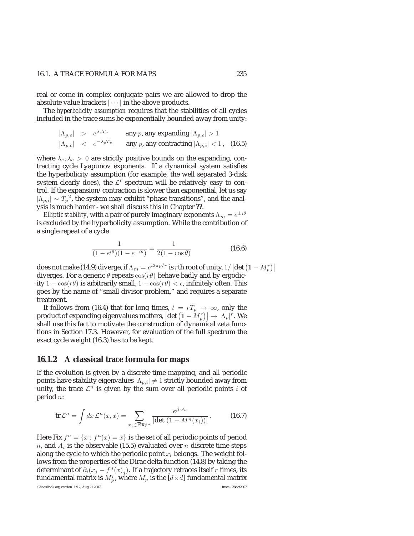#### 16.1. A TRACE FORMULA FOR MAPS 235

real or come in complex conjugate pairs we are allowed to drop the absolute value brackets  $|\cdots|$  in the above products.

The *hyperbolicity assumption* requires that the stabilities of all cycles included in the trace sums be exponentially bounded away from unity:

$$
|\Lambda_{p,e}| > e^{\lambda_e T_p} \qquad \text{any } p \text{, any expanding } |\Lambda_{p,e}| > 1
$$
  

$$
|\Lambda_{p,e}| < e^{-\lambda_c T_p} \qquad \text{any } p \text{, any contracting } |\Lambda_{p,e}| < 1 , \quad \text{(16.5)}
$$

where  $\lambda_e, \lambda_c > 0$  are strictly positive bounds on the expanding, contracting cycle Lyapunov exponents. If a dynamical system satisfies the hyperbolicity assumption (for example, the well separated 3-disk system clearly does), the  $\mathcal{L}^t$  spectrum will be relatively easy to control. If the expansion/contraction is slower than exponential, let us say  $|\Lambda_{p,i}| \sim T_p^2$ , the system may exhibit "phase transitions", and the analysis is much harder - we shall discuss this in Chapter **??**.

*Elliptic stability*, with a pair of purely imaginary exponents  $\Lambda_m = e^{\pm i\theta}$ is excluded by the hyperbolicity assumption. While the contribution of a single repeat of a cycle

$$
\frac{1}{(1 - e^{i\theta})(1 - e^{-i\theta})} = \frac{1}{2(1 - \cos\theta)}\tag{16.6}
$$

does not make (14.9) diverge, if  $\Lambda_m = e^{i2\pi p/r}$  is rth root of unity,  $1/|\det(1 - M_p^r)|$ <br>diverges. For a generic  $\theta$  repeats  $cos(r\theta)$  behave hadly and by ergodicdiverges. For a generic  $\theta$  repeats  $cos(r\theta)$  behave badly and by ergodicity  $1 - \cos(r\theta)$  is arbitrarily small,  $1 - \cos(r\theta) < \epsilon$ , infinitely often. This goes by the name of "small divisor problem," and requires a separate treatment.

It follows from (16.4) that for long times,  $t = rT_p \rightarrow \infty$ , only the product of expanding eigenvalues matters,  $\left|\det\left(1-\tilde{M}_p^r\right)\right| \to \left|\Lambda_p\right|^r$ . We shall use this fact to motivate the construction of dynamical zeta funcshall use this fact to motivate the construction of dynamical zeta functions in Section 17.3. However, for evaluation of the full spectrum the exact cycle weight (16.3) has to be kept.

#### **16.1.2 A classical trace formula for maps**

If the evolution is given by a discrete time mapping, and all periodic points have stability eigenvalues  $|\Lambda_{p,i}|\neq 1$  strictly bounded away from unity, the trace  $\mathcal{L}^n$  is given by the sum over all periodic points i of period n:

$$
\operatorname{tr} \mathcal{L}^n = \int dx \, \mathcal{L}^n(x, x) = \sum_{x_i \in \operatorname{Fix} f^n} \frac{e^{\beta \cdot A_i}}{|\det (1 - M^n(x_i))|} \,. \tag{16.7}
$$

Here Fix  $f^n = \{x : f^n(x) = x\}$  is the set of all periodic points of period n, and  $A_i$  is the observable (15.5) evaluated over n discrete time steps along the cycle to which the periodic point  $x_i$  belongs. The weight follows from the properties of the Dirac delta function (14.8) by taking the determinant of  $\partial_i(x_j - f^n(x)_i)$ . If a trajectory retraces itself r times, its fundamental matrix is  $M_p^r$ , where  $M_p$  is the [ $d \times d$ ] fundamental matrix ChaosBook.org version11.9.2, Aug 21 2007 trace - 28oct2007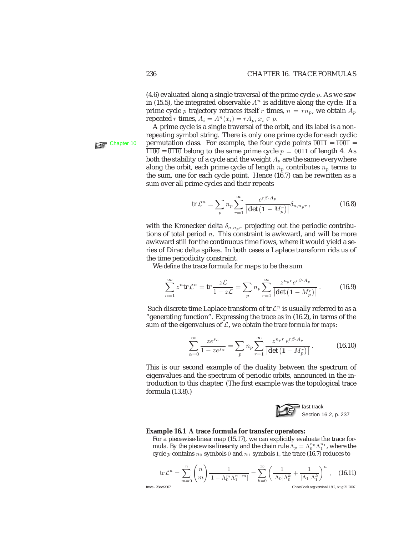(4.6) evaluated along a single traversal of the prime cycle  $p$ . As we saw in (15.5), the integrated observable  $A<sup>n</sup>$  is additive along the cycle: If a prime cycle *p* trajectory retraces itself *r* times,  $n = rn_p$ , we obtain  $A_p$ repeated r times,  $A_i = A^n(x_i) = rA_p, x_i \in p$ .

A prime cycle is a single traversal of the orbit, and its label is a nonrepeating symbol string. There is only one prime cycle for each cyclic Chapter 10 permutation class. For example, the four cycle points  $\overline{0011} = \overline{1001}$  $\overline{1100}$  =  $\overline{0110}$  belong to the same prime cycle  $p = 0011$  of length 4. As both the stability of a cycle and the weight  $A_p$  are the same everywhere along the orbit, each prime cycle of length  $n_p$  contributes  $n_p$  terms to the sum, one for each cycle point. Hence (16.7) can be rewritten as a sum over all prime cycles and their repeats

$$
\operatorname{tr} \mathcal{L}^n = \sum_p n_p \sum_{r=1}^{\infty} \frac{e^{r\beta \cdot A_p}}{\left| \det \left( 1 - M_p^r \right) \right|} \delta_{n, n_p r} , \qquad (16.8)
$$

with the Kronecker delta  $\delta_{n,n_p r}$  projecting out the periodic contributions of total period  $n$ . This constraint is awkward, and will be more awkward still for the continuous time flows, where it would yield a series of Dirac delta spikes. In both cases a Laplace transform rids us of the time periodicity constraint.

We *define* the trace formula for maps to be the sum

$$
\sum_{n=1}^{\infty} z^n \text{tr} \mathcal{L}^n = \text{tr} \frac{z \mathcal{L}}{1 - z \mathcal{L}} = \sum_p n_p \sum_{r=1}^{\infty} \frac{z^{n_p r} e^{r \beta \cdot A_p}}{|\det \left(1 - M_p^r\right)|}.
$$
 (16.9)

Such discrete time Laplace transform of tr  $\mathcal{L}^n$  is usually referred to as a "generating function". Expressing the trace as in (16.2), in terms of the sum of the eigenvalues of L, we obtain the *trace formula for maps*:

$$
\sum_{\alpha=0}^{\infty} \frac{ze^{s_{\alpha}}}{1 - ze^{s_{\alpha}}} = \sum_{p} n_p \sum_{r=1}^{\infty} \frac{z^{n_p r} e^{r\beta \cdot A_p}}{|\det\left(1 - M_p^r\right)|}.
$$
 (16.10)

This is our second example of the duality between the spectrum of eigenvalues and the spectrum of periodic orbits, announced in the introduction to this chapter. (The first example was the topological trace formula (13.8).)



#### **Example 16.1 A trace formula for transfer operators:**

For a piecewise-linear map (15.17), we can explicitly evaluate the trace formula. By the piecewise linearity and the chain rule  $\Lambda_p = \Lambda_0^{n_0} \Lambda_1^{n_1}$ , where the cycle a contains  $n_0$  symbols 0 and  $n_1$  symbols 1, the trace (16.7) reduces to cycle p contains  $n_0$  symbols 0 and  $n_1$  symbols 1, the trace (16.7) reduces to

$$
\operatorname{tr} \mathcal{L}^n = \sum_{m=0}^n \binom{n}{m} \frac{1}{|1 - \Lambda_0^m \Lambda_1^{n-m}|} = \sum_{k=0}^\infty \left(\frac{1}{|\Lambda_0| \Lambda_0^k} + \frac{1}{|\Lambda_1| \Lambda_1^k}\right)^n, \quad \text{(16.11)}
$$
\n
$$
\text{trace - 28oct2007} \qquad \text{ChacsBook.org version 11.9.2. Aug 21 2007}
$$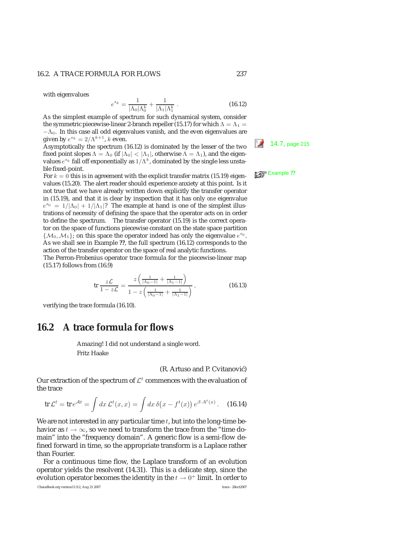with eigenvalues

$$
e^{s_k} = \frac{1}{|\Lambda_0|\Lambda_0^k} + \frac{1}{|\Lambda_1|\Lambda_1^k} \ . \tag{16.12}
$$

As the simplest example of spectrum for such dynamical system, consider  $\frac{e}{\left|\Lambda_0\right|\Lambda_0^k} + \frac{1}{\left|\Lambda_1\right|\Lambda_1^k}$ . the symmetric piecewise-linear 2-branch repeller (15.17) for which  $\Lambda = \Lambda_1 =$  $-\Lambda_0$ . In this case all odd eigenvalues vanish, and the even eigenvalues are given by  $e^{s_k} = 2/\Lambda^{k+1}$ , k even.

 $g$ iven by  $e^x = 2/\Lambda^2$ , k even. 16.12) is dominated by the lesser of the two  $\frac{1}{\Lambda^2}$  14.7, page 215 fixed point slopes  $\Lambda = \Lambda_0$  (if  $|\Lambda_0| < |\Lambda_1|$ , otherwise  $\Lambda = \Lambda_1$ ), and the eigenvalues  $e^{s_k}$  fall off exponentially as  $1/\Lambda^k$ , dominated by the single less unstable fixed-point.

For  $k = 0$  this is in agreement with the explicit transfer matrix (15.19) eigenvalues (15.20). The alert reader should experience anxiety at this point. Is it not true that we have already written down explicitly the transfer operator in (15.19), and that it is clear by inspection that it has only *one* eigenvalue  $e^{s_0} = 1/|\Lambda_0| + 1/|\Lambda_1|$ ? The example at hand is one of the simplest illustrations of necessity of defining the space that the operator acts on in order to define the spectrum. The transfer operator (15.19) is the correct operator on the space of functions piecewise constant on the state space partition  $\{\mathcal{M}_0, \mathcal{M}_1\}$ ; on this space the operator indeed has only the eigenvalue  $e^{s_0}$ . As we shall see in Example **??**, the full spectrum (16.12) corresponds to the action of the transfer operator on the space of real analytic functions.

The Perron-Frobenius operator trace formula for the piecewise-linear map (15.17) follows from (16.9)

$$
\text{tr}\,\frac{z\mathcal{L}}{1-z\mathcal{L}} = \frac{z\left(\frac{1}{|\Lambda_0 - 1|} + \frac{1}{|\Lambda_1 - 1|}\right)}{1 - z\left(\frac{1}{|\Lambda_0 - 1|} + \frac{1}{|\Lambda_1 - 1|}\right)},\tag{16.13}
$$

verifying the trace formula (16.10).

# **16.2 A trace formula for flows**

Amazing! I did not understand a single word. Fritz Haake

#### (R. Artuso and P. Cvitanović)

Our extraction of the spectrum of  $\mathcal{L}^t$  commences with the evaluation of the trace

$$
\operatorname{tr} \mathcal{L}^t = \operatorname{tr} e^{\mathcal{A}t} = \int dx \, \mathcal{L}^t(x, x) = \int dx \, \delta\big(x - f^t(x)\big) \, e^{\beta \cdot A^t(x)} \,. \tag{16.14}
$$

We are not interested in any particular time  $t$ , but into the long-time behavior as  $t \to \infty$ , so we need to transform the trace from the "time domain" into the "frequency domain". A generic flow is a semi-flow defined forward in time, so the appropriate transform is a Laplace rather than Fourier.

For a continuous time flow, the Laplace transform of an evolution operator yields the resolvent (14.31). This is a delicate step, since the evolution operator becomes the identity in the  $t\rightarrow 0^+$  limit. In order to

ChaosBook.org version11.9.2, Aug 21 2007 trace - 28oct2007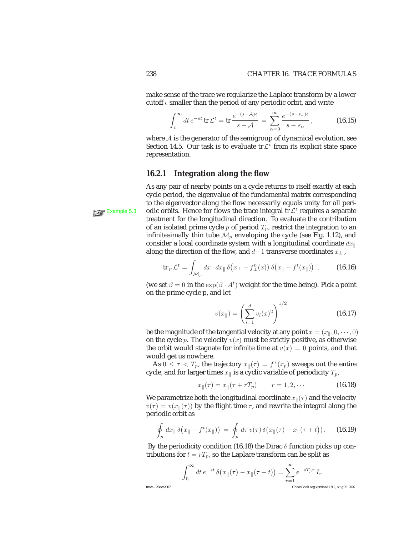make sense of the trace we regularize the Laplace transform by a lower cutoff  $\epsilon$  smaller than the period of any periodic orbit, and write

$$
\int_{\epsilon}^{\infty} dt \, e^{-st} \, \text{tr} \, \mathcal{L}^t = \text{tr} \, \frac{e^{-(s-\mathcal{A})\epsilon}}{s-\mathcal{A}} = \sum_{\alpha=0}^{\infty} \frac{e^{-(s-s_{\alpha})\epsilon}}{s-s_{\alpha}},\tag{16.15}
$$

where A is the generator of the semigroup of dynamical evolution, see Section 14.5. Our task is to evaluate tr $\mathcal{L}^t$  from its explicit state space representation.

#### **16.2.1 Integration along the flow**

As any pair of nearby points on a cycle returns to itself exactly at each cycle period, the eigenvalue of the fundamental matrix corresponding to the eigenvector along the flow necessarily equals unity for all peri-**Example 5.3** odic orbits. Hence for flows the trace integral tr  $\mathcal{L}^t$  requires a separate treatment for the longitudinal direction. To evaluate the contribution of an isolated prime cycle  $p$  of period  $T_p$ , restrict the integration to an infinitesimally thin tube  $\mathcal{M}_p$  enveloping the cycle (see Fig. 1.12), and consider a local coordinate system with a longitudinal coordinate  $dx_{\parallel}$ along the direction of the flow, and  $d-1$  transverse coordinates  $x_{\perp}$ ,

$$
\operatorname{tr}_p \mathcal{L}^t = \int_{\mathcal{M}_p} dx_\perp dx_\parallel \, \delta\big(x_\perp - f_\perp^t(x)\big) \, \delta\big(x_\parallel - f^t(x_\parallel)\big) \quad . \tag{16.16}
$$

(we set  $\beta = 0$  in the  $\exp(\beta \cdot A^t)$  weight for the time being). Pick a point on the prime cycle p, and let

$$
v(x_{\parallel}) = \left(\sum_{i=1}^{d} v_i(x)^2\right)^{1/2}
$$
 (16.17)

be the magnitude of the tangential velocity at any point  $x = (x_{\parallel}, 0, \dots, 0)$ on the cycle p. The velocity  $v(x)$  must be strictly positive, as otherwise the orbit would stagnate for infinite time at  $v(x)=0$  points, and that would get us nowhere.

As  $0 \leq \tau < T_p$ , the trajectory  $x_{\parallel}(\tau) = f^{\tau}(x_p)$  sweeps out the entire cycle, and for larger times  $x_{\parallel}$  is a cyclic variable of periodicity  $T_p$ ,

$$
x_{\parallel}(\tau) = x_{\parallel}(\tau + rT_p) \qquad r = 1, 2, \cdots \qquad (16.18)
$$

We parametrize both the longitudinal coordinate  $x_{\parallel}(\tau)$  and the velocity  $v(\tau) = v(x_{\parallel}(\tau))$  by the flight time  $\tau$ , and rewrite the integral along the periodic orbit as

$$
\oint_{p} dx_{\parallel} \delta(x_{\parallel} - f^{t}(x_{\parallel})) = \oint_{p} d\tau \, v(\tau) \, \delta(x_{\parallel}(\tau) - x_{\parallel}(\tau + t)). \tag{16.19}
$$

By the periodicity condition (16.18) the Dirac  $\delta$  function picks up contributions for  $t = rT_p$ , so the Laplace transform can be split as

$$
\int_0^\infty dt \, e^{-st} \, \delta\big(x_\parallel(\tau)-x_\parallel(\tau+t)\big) = \sum_{r=1}^\infty e^{-sT_pr} \, I_r
$$
\n
$$
\int_0^\infty dt \, e^{-st} \, \delta\big(x_\parallel(\tau)-x_\parallel(\tau+t)\big) = \sum_{r=1}^\infty e^{-sT_pr} \, I_r
$$
\nChaosBook.org version 11.9.2, Aug 21 2007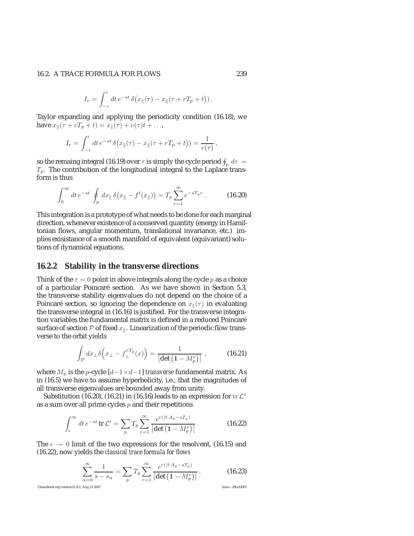#### 16.2. A TRACE FORMULA FOR FLOWS 239

$$
I_r = \int_{-\epsilon}^{\epsilon} dt \, e^{-st} \, \delta(x_{\parallel}(\tau) - x_{\parallel}(\tau + rT_p + t)).
$$

Taylor expanding and applying the periodicity condition (16.18), we have  $x_{\parallel}(\tau + rT_p + t) = x_{\parallel}(\tau) + v(\tau)t + ...$ 

$$
I_r = \int_{-\epsilon}^{\epsilon} dt \, e^{-st} \, \delta(x_{\parallel}(\tau) - x_{\parallel}(\tau + rT_p + t)) = \frac{1}{v(\tau)},
$$

so the remaing integral (16.19) over  $\tau$  is simply the cycle period  $\oint_{\eta} \, d\tau =$  $T_p$ . The contribution of the longitudinal integral to the Laplace transform is thus

$$
\int_0^\infty dt \, e^{-st} \, \oint_p \, dx_{\parallel} \, \delta\big(x_{\parallel} - f^t(x_{\parallel})\big) = T_p \sum_{r=1}^\infty e^{-sT_p r} \,. \tag{16.20}
$$

This integration is a prototype of what needs to be done for each marginal direction, whenever existence of a conserved quantity (energy in Hamiltonian flows, angular momentum, translational invariance, etc.) implies exisistance of a smooth manifold of equivalent (equivariant) solutions of dynamical equations.

#### **16.2.2 Stability in the transverse directions**

Think of the  $\tau = 0$  point in above integrals along the cycle p as a choice of a particular Poincaré section. As we have shown in Section 5.3, the transverse stability eigenvalues do not depend on the choice of a Poincaré section, so ignoring the dependence on  $x_{\parallel}(\tau)$  in evaluating the transverse integral in (16.16) is justified. For the transverse integration variables the fundamental matrix is defined in a reduced Poincaré surface of section  $P$  of fixed  $x_{\parallel}$ . Linearization of the periodic flow transverse to the orbit yields

$$
\int_{\mathcal{P}} dx_{\perp} \delta \Big(x_{\perp} - f_{\perp}^{rT_p}(x) \Big) = \frac{1}{\left| \det \left( 1 - M_p^r \right) \right|} ,\qquad (16.21)
$$

where  $M_p$  is the *p*-cycle  $[d-1 \times d-1]$  *transverse* fundamental matrix. As in (16.5) we have to assume hyperbolicity, i.e., that the magnitudes of all transverse eigenvalues are bounded away from unity.

Substitution (16.20), (16.21) in (16.16) leads to an expression for  $tr \mathcal{L}^t$ as a sum over all prime cycles  $p$  and their repetitions

$$
\int_{\epsilon}^{\infty} dt \, e^{-st} \, \text{tr} \, \mathcal{L}^t = \sum_{p} T_p \sum_{r=1}^{\infty} \frac{e^{r(\beta \cdot A_p - sT_p)}}{|\det \left(1 - M_p^r\right)|} \,. \tag{16.22}
$$

The  $\epsilon \to 0$  limit of the two expressions for the resolvent, (16.15) and (16.22), now yields the *classical trace formula for flows*

$$
\sum_{\alpha=0}^{\infty} \frac{1}{s - s_{\alpha}} = \sum_{p} T_p \sum_{r=1}^{\infty} \frac{e^{r(\beta \cdot A_p - sT_p)}}{\left| \det \left( 1 - M_p^r \right) \right|} . \tag{16.23}
$$

ChaosBook.org version11.9.2, Aug 21 2007 trace - 28oct2007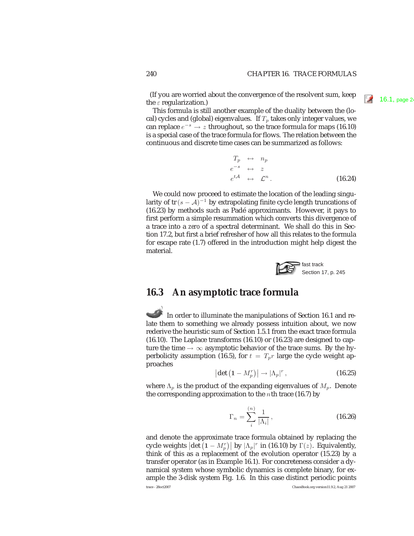(If you are worried about the convergence of the resolvent sum, keep  $\Box$  16.1, page 24 the  $\varepsilon$  regularization.)

This formula is still another example of the duality between the (local) cycles and (global) eigenvalues. If  $T_p$  takes only integer values, we can replace  $e^{-s} \rightarrow z$  throughout, so the trace formula for maps (16.10) is a special case of the trace formula for flows. The relation between the continuous and discrete time cases can be summarized as follows:

$$
T_p \leftrightarrow n_p
$$
  
\n
$$
e^{-s} \leftrightarrow z
$$
  
\n
$$
e^{t\mathcal{A}} \leftrightarrow \mathcal{L}^n.
$$
\n(16.24)

We could now proceed to estimate the location of the leading singularity of tr( $s - A$ )<sup>-1</sup> by extrapolating finite cycle length truncations of (16.23) by methods such as Padé approximants. However, it pays to first perform a simple resummation which converts this divergence of a trace into a *zero* of a spectral determinant. We shall do this in Section 17.2, but first a brief refresher of how all this relates to the formula for escape rate (1.7) offered in the introduction might help digest the material.



## **16.3 An asymptotic trace formula**

In order to illuminate the manipulations of Section 16.1 and relate them to something we already possess intuition about, we now rederive the heuristic sum of Section 1.5.1 from the exact trace formula (16.10). The Laplace transforms (16.10) or (16.23) are designed to capture the time  $\rightarrow \infty$  asymptotic behavior of the trace sums. By the hyperbolicity assumption (16.5), for  $t = T_p r$  large the cycle weight approaches

$$
\left| \det \left( 1 - M_p^r \right) \right| \to \left| \Lambda_p \right|^r, \tag{16.25}
$$

where  $\Lambda_p$  is the product of the expanding eigenvalues of  $M_p$ . Denote the corresponding approximation to the nth trace  $(16.7)$  by

$$
\Gamma_n = \sum_{i}^{(n)} \frac{1}{|\Lambda_i|},\tag{16.26}
$$

and denote the approximate trace formula obtained by replacing the cycle weights  $|\det (1 - M_p^r)|$  by  $|\Lambda_p|^r$  in (16.10) by  $\Gamma(z)$ . Equivalently, think of this as a replacement of the evolution operator (15.23) by a think of this as a replacement of the evolution operator (15.23) by a transfer operator (as in Example 16.1). For concreteness consider a dynamical system whose symbolic dynamics is complete binary, for example the 3-disk system Fig. 1.6. In this case distinct periodic points trace - 28oct2007 ChaosBook.org version11.9.2, Aug 21 2007

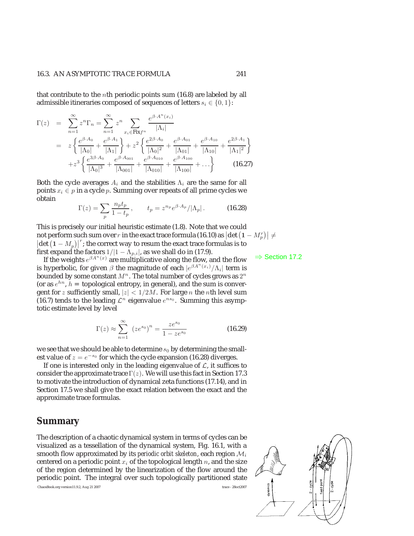that contribute to the nth periodic points sum (16.8) are labeled by all admissible itineraries composed of sequences of letters  $s_i \in \{0, 1\}$ :

$$
\Gamma(z) = \sum_{n=1}^{\infty} z^n \Gamma_n = \sum_{n=1}^{\infty} z^n \sum_{x_i \in \text{Fix} f^n} \frac{e^{\beta \cdot A^n(x_i)}}{|\Lambda_i|}
$$
  
\n
$$
= z \left\{ \frac{e^{\beta \cdot A_0}}{|\Lambda_0|} + \frac{e^{\beta \cdot A_1}}{|\Lambda_1|} \right\} + z^2 \left\{ \frac{e^{2\beta \cdot A_0}}{|\Lambda_0|^2} + \frac{e^{\beta \cdot A_{01}}}{|\Lambda_{01}|} + \frac{e^{\beta \cdot A_{10}}}{|\Lambda_{10}|} + \frac{e^{2\beta \cdot A_1}}{|\Lambda_1|^2} \right\}
$$
  
\n
$$
+ z^3 \left\{ \frac{e^{3\beta \cdot A_0}}{|\Lambda_0|^3} + \frac{e^{\beta \cdot A_{001}}}{|\Lambda_{001}|} + \frac{e^{\beta \cdot A_{100}}}{|\Lambda_{010}|} + \frac{e^{\beta \cdot A_{100}}}{|\Lambda_{100}|} + \dots \right\}
$$
 (16.27)

Both the cycle averages  $A_i$  and the stabilities  $\Lambda_i$  are the same for all points  $x_i \in p$  in a cycle p. Summing over repeats of all prime cycles we obtain

$$
\Gamma(z) = \sum_{p} \frac{n_p t_p}{1 - t_p}, \qquad t_p = z^{n_p} e^{\beta \cdot A_p} / |\Lambda_p|.
$$
 (16.28)

This is precisely our initial heuristic estimate (1.8). Note that we could not perform such sum over r in the exact trace formula (16.10) as  $|\det (1 - M_p^r)| \neq$  $\left|\det\left(1-M_p\right)\right|^r$ ; the correct way to resum the exact trace formulas is to first expand the factors  $1/1 - \Lambda$  degree shall do in (17.9) first expand the factors  $1/|1 - \Lambda_{p,i}|$ , as we shall do in (17.9).

If the weights  $e^{\beta A^n(x)}$  are multiplicative along the flow, and the flow  $\Rightarrow$  Section 17.2 is hyperbolic, for given  $\beta$  the magnitude of each  $|e^{\beta A^{n}(x_i)}/\Lambda_i|$  term is bounded by some constant  $M^n$ . The total number of cycles grows as  $2^n$ (or as  $e^{hn}$ ,  $h =$  topological entropy, in general), and the sum is convergent for z sufficiently small,  $|z| < 1/2M$ . For large n the nth level sum (16.7) tends to the leading  $\mathcal{L}^n$  eigenvalue  $e^{ns_0}$ . Summing this asymptotic estimate level by level

$$
\Gamma(z) \approx \sum_{n=1}^{\infty} (ze^{s_0})^n = \frac{ze^{s_0}}{1 - ze^{s_0}}
$$
 (16.29)

we see that we should be able to determine  $s_0$  by determining the smallest value of  $z = e^{-s_0}$  for which the cycle expansion (16.28) diverges.

If one is interested only in the leading eigenvalue of  $\mathcal{L}$ , it suffices to consider the approximate trace  $\Gamma(z)$ . We will use this fact in Section 17.3 to motivate the introduction of dynamical zeta functions (17.14), and in Section 17.5 we shall give the exact relation between the exact and the approximate trace formulas.

# **Summary**

The description of a chaotic dynamical system in terms of cycles can be visualized as a tessellation of the dynamical system, Fig. 16.1, with a smooth flow approximated by its *periodic orbit skeleton*, each region  $M_i$ centered on a periodic point  $x_i$  of the topological length n, and the size of the region determined by the linearization of the flow around the periodic point. The integral over such topologically partitioned state

ChaosBook.org version11.9.2, Aug 21 2007 trace - 28oct2007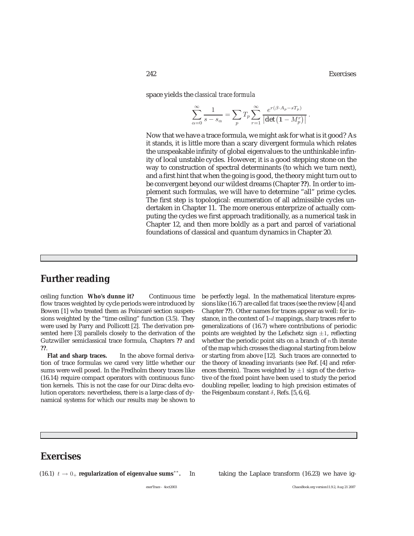space yields the *classical trace formula*

$$
\sum_{\alpha=0}^{\infty} \frac{1}{s - s_{\alpha}} = \sum_{p} T_p \sum_{r=1}^{\infty} \frac{e^{r(\beta \cdot A_p - sT_p)}}{|\det(1 - M_p^r)|}.
$$

Now that we have a trace formula, we might ask for what is it good? As it stands, it is little more than a scary divergent formula which relates the unspeakable infinity of global eigenvalues to the unthinkable infinity of local unstable cycles. However, it is a good stepping stone on the way to construction of spectral determinants (to which we turn next), and a first hint that when the going is good, the theory might turn out to be convergent beyond our wildest dreams (Chapter **??**). In order to implement such formulas, we will have to determine "all" prime cycles. The first step is topological: enumeration of all admissible cycles undertaken in Chapter 11. The more onerous enterprize of actually computing the cycles we first approach traditionally, as a numerical task in Chapter 12, and then more boldly as a part and parcel of variational foundations of classical and quantum dynamics in Chapter 20.

# **Further reading**

ceiling function **Who's dunne it?** Continuous time flow traces weighted by cycle periods were introduced by Bowen [1] who treated them as Poincaré section suspensions weighted by the "time ceiling" function (3.5). They were used by Parry and Pollicott [2]. The derivation presented here [3] parallels closely to the derivation of the Gutzwiller semiclassical trace formula, Chapters **??** and **??**.

**Flat and sharp traces.** In the above formal derivation of trace formulas we cared very little whether our sums were well posed. In the Fredholm theory traces like (16.14) require compact operators with continuous function kernels. This is not the case for our Dirac delta evolution operators: nevertheless, there is a large class of dynamical systems for which our results may be shown to be perfectly legal. In the mathematical literature expressions like (16.7) are called *flat* traces (see the review [4] and Chapter **??**). Other names for traces appear as well: for instance, in the context of 1-d mappings, *sharp* traces refer to generalizations of (16.7) where contributions of periodic points are weighted by the Lefschetz sign  $\pm 1$ , reflecting whether the periodic point sits on a branch of  $n$ th iterate of the map which crosses the diagonal starting from below or starting from above [12]. Such traces are connected to the theory of kneading invariants (see Ref. [4] and references therein). Traces weighted by  $\pm 1$  sign of the derivative of the fixed point have been used to study the period doubling repeller, leading to high precision estimates of the Feigenbaum constant  $\delta$ , Refs. [5, 6, 6].

# **Exercises**

```
(16.1) t → 0+ regularization of eigenvalue sums∗∗. In taking the Laplace transform (16.23) we have ig-
```